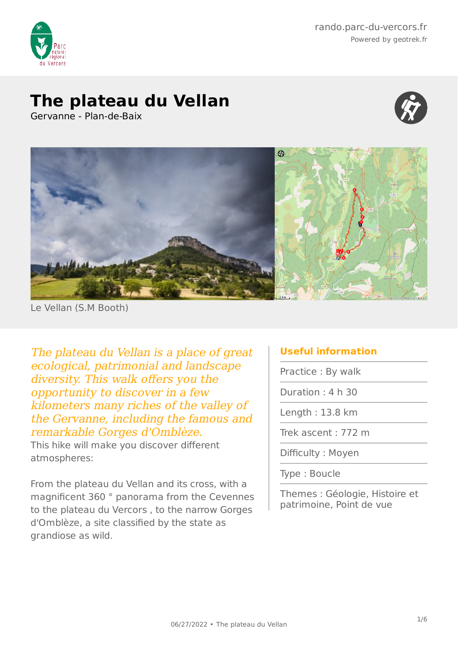

rando.parc-du-vercors.fr Powered by geotrek.fr

## **The plateau du Vellan**

Gervanne - Plan-de-Baix





Le Vellan (S.M Booth)

The plateau du Vellan is a place of great ecological, patrimonial and landscape diversity. This walk offers you the opportunity to discover in a few kilometers many riches of the valley of the Gervanne, including the famous and remarkable Gorges d'Omblèze.

This hike will make you discover different atmospheres:

From the plateau du Vellan and its cross, with a magnificent 360 ° panorama from the Cevennes to the plateau du Vercors , to the narrow Gorges d'Omblèze, a site classified by the state as grandiose as wild.

### **Useful information**

Practice : By walk

Duration : 4 h 30

Length : 13.8 km

Trek ascent : 772 m

Difficulty : Moyen

Type : Boucle

Themes : Géologie, Histoire et patrimoine, Point de vue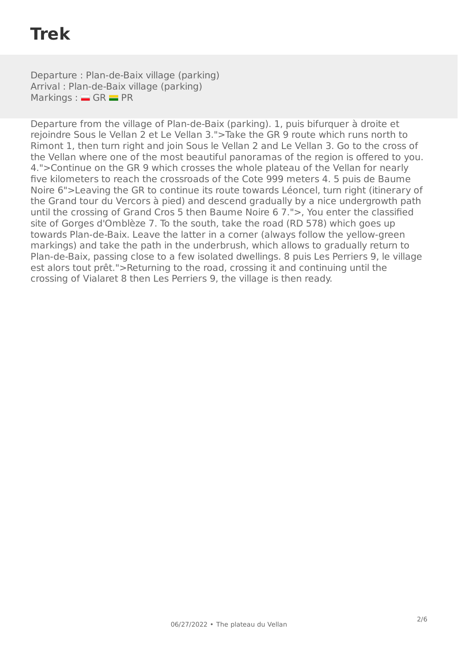# **Trek**

Departure : Plan-de-Baix village (parking) Arrival : Plan-de-Baix village (parking)  $Markings : G = GR = PR$ 

Departure from the village of Plan-de-Baix (parking). 1, puis bifurquer à droite et rejoindre Sous le Vellan 2 et Le Vellan 3.">Take the GR 9 route which runs north to Rimont 1, then turn right and join Sous le Vellan 2 and Le Vellan 3. Go to the cross of the Vellan where one of the most beautiful panoramas of the region is offered to you. 4.">Continue on the GR 9 which crosses the whole plateau of the Vellan for nearly five kilometers to reach the crossroads of the Cote 999 meters 4. 5 puis de Baume Noire 6">Leaving the GR to continue its route towards Léoncel, turn right (itinerary of the Grand tour du Vercors à pied) and descend gradually by a nice undergrowth path until the crossing of Grand Cros 5 then Baume Noire 6 7.">, You enter the classified site of Gorges d'Omblèze 7. To the south, take the road (RD 578) which goes up towards Plan-de-Baix. Leave the latter in a corner (always follow the yellow-green markings) and take the path in the underbrush, which allows to gradually return to Plan-de-Baix, passing close to a few isolated dwellings. 8 puis Les Perriers 9, le village est alors tout prêt.">Returning to the road, crossing it and continuing until the crossing of Vialaret 8 then Les Perriers 9, the village is then ready.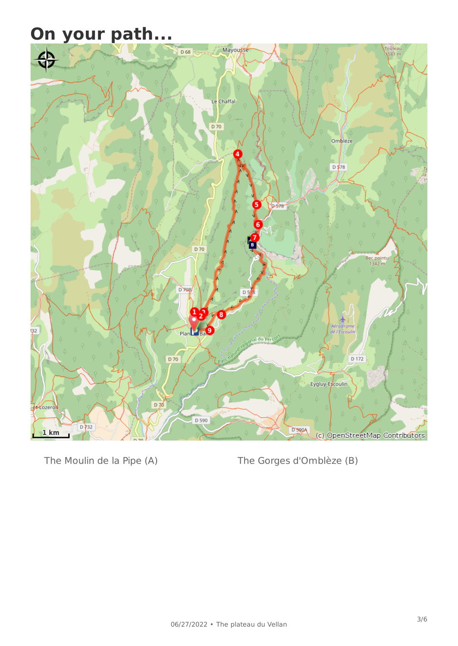## **On your path...**



The Moulin de la Pipe (A) The Gorges d'Omblèze (B)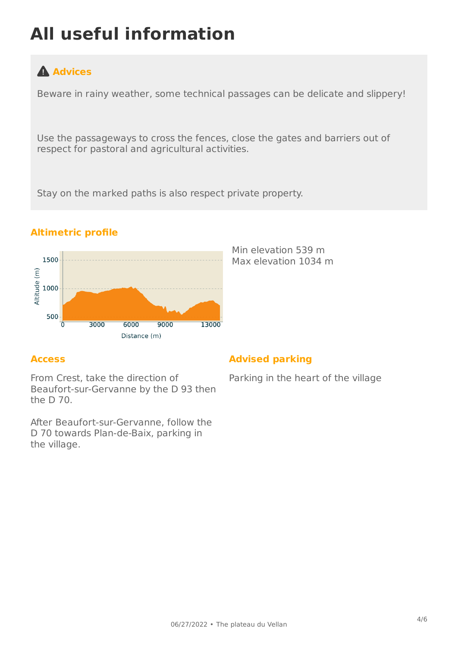# **All useful information**

## **Advices**

Beware in rainy weather, some technical passages can be delicate and slippery!

Use the passageways to cross the fences, close the gates and barriers out of respect for pastoral and agricultural activities.

Stay on the marked paths is also respect private property.



#### **Altimetric profile**

#### **Access**

From Crest, take the direction of Beaufort-sur-Gervanne by the D 93 then the D 70.

After Beaufort-sur-Gervanne, follow the D 70 towards Plan-de-Baix, parking in the village.

#### **Advised parking**

Min elevation 539 m Max elevation 1034 m

Parking in the heart of the village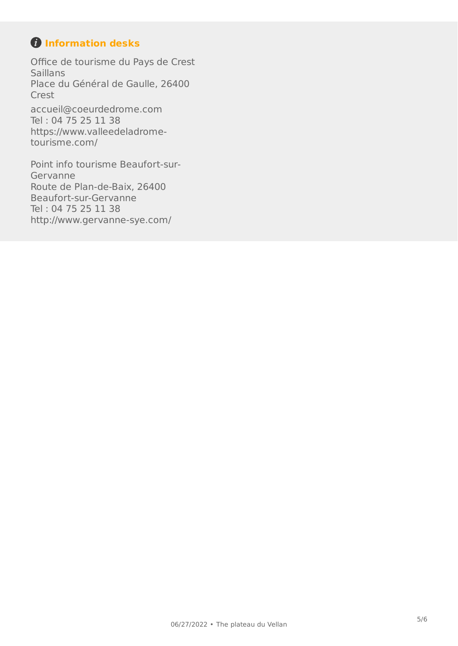## *O* Information desks

Office de tourisme du Pays de Crest **Saillans** Place du Général de Gaulle, 26400 Crest [accueil@coeurdedrome.com](mailto:accueil@coeurdedrome.com) Tel : 04 75 25 11 38 [https://www.valleedeladrome](https://www.valleedeladrome-tourisme.com/)[tourisme.com/](https://www.valleedeladrome-tourisme.com/)

Point info tourisme Beaufort-sur-Gervanne Route de Plan-de-Baix, 26400 Beaufort-sur-Gervanne Tel : 04 75 25 11 38 <http://www.gervanne-sye.com/>